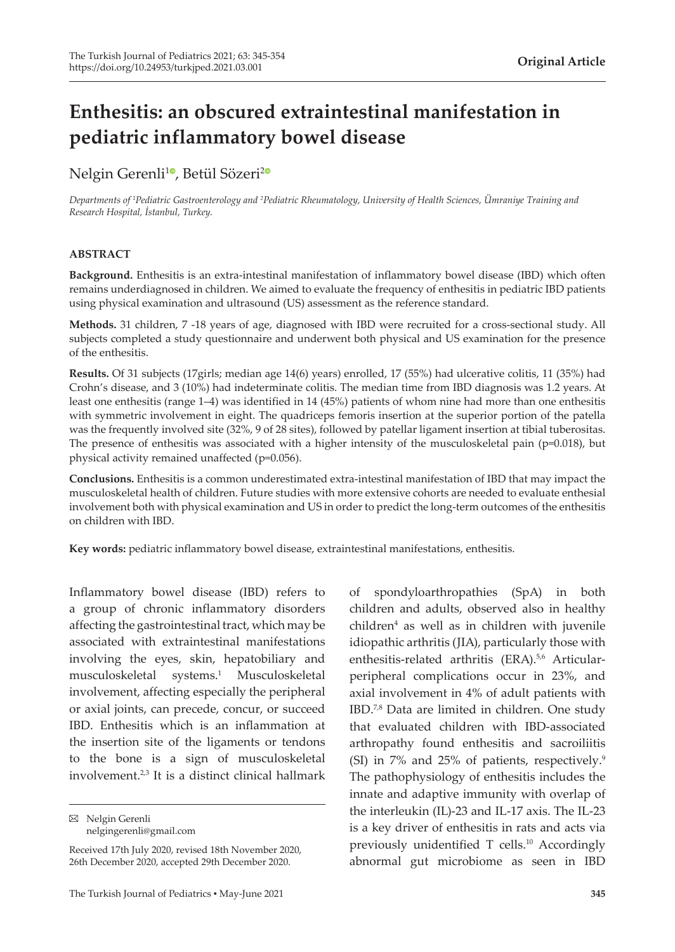# **Enthesitis: an obscured extraintestinal manifestation in pediatric inflammatory bowel disease**

# Nelgin Gerenli<sup>10</sup>[,](https://orcid.org/0000-0002-2395-163X) Betül Sözeri<sup>[2](https://orcid.org/0000-0002-5079-5644)0</sup>

*Departments of <sup>1</sup> Pediatric Gastroenterology and <sup>2</sup> Pediatric Rheumatology, University of Health Sciences, Ümraniye Training and Research Hospital, İstanbul, Turkey.*

#### **ABSTRACT**

**Background.** Enthesitis is an extra-intestinal manifestation of inflammatory bowel disease (IBD) which often remains underdiagnosed in children. We aimed to evaluate the frequency of enthesitis in pediatric IBD patients using physical examination and ultrasound (US) assessment as the reference standard.

**Methods.** 31 children, 7 -18 years of age, diagnosed with IBD were recruited for a cross-sectional study. All subjects completed a study questionnaire and underwent both physical and US examination for the presence of the enthesitis.

**Results.** Of 31 subjects (17girls; median age 14(6) years) enrolled, 17 (55%) had ulcerative colitis, 11 (35%) had Crohn's disease, and 3 (10%) had indeterminate colitis. The median time from IBD diagnosis was 1.2 years. At least one enthesitis (range 1–4) was identified in 14 (45%) patients of whom nine had more than one enthesitis with symmetric involvement in eight. The quadriceps femoris insertion at the superior portion of the patella was the frequently involved site (32%, 9 of 28 sites), followed by patellar ligament insertion at tibial tuberositas. The presence of enthesitis was associated with a higher intensity of the musculoskeletal pain (p=0.018), but physical activity remained unaffected (p=0.056).

**Conclusions.** Enthesitis is a common underestimated extra-intestinal manifestation of IBD that may impact the musculoskeletal health of children. Future studies with more extensive cohorts are needed to evaluate enthesial involvement both with physical examination and US in order to predict the long-term outcomes of the enthesitis on children with IBD.

**Key words:** pediatric inflammatory bowel disease, extraintestinal manifestations, enthesitis.

Inflammatory bowel disease (IBD) refers to a group of chronic inflammatory disorders affecting the gastrointestinal tract, which may be associated with extraintestinal manifestations involving the eyes, skin, hepatobiliary and musculoskeletal systems.<sup>1</sup> Musculoskeletal involvement, affecting especially the peripheral or axial joints, can precede, concur, or succeed IBD. Enthesitis which is an inflammation at the insertion site of the ligaments or tendons to the bone is a sign of musculoskeletal involvement.<sup>2,3</sup> It is a distinct clinical hallmark

Nelgin Gerenli nelgingerenli@gmail.com

Received 17th July 2020, revised 18th November 2020, 26th December 2020, accepted 29th December 2020.

of spondyloarthropathies (SpA) in both children and adults, observed also in healthy children<sup>4</sup> as well as in children with juvenile idiopathic arthritis (JIA), particularly those with enthesitis-related arthritis (ERA).<sup>5,6</sup> Articularperipheral complications occur in 23%, and axial involvement in 4% of adult patients with IBD.7,8 Data are limited in children. One study that evaluated children with IBD-associated arthropathy found enthesitis and sacroiliitis (SI) in 7% and 25% of patients, respectively.<sup>9</sup> The pathophysiology of enthesitis includes the innate and adaptive immunity with overlap of the interleukin (IL)-23 and IL-17 axis. The IL-23 is a key driver of enthesitis in rats and acts via previously unidentified T cells.<sup>10</sup> Accordingly abnormal gut microbiome as seen in IBD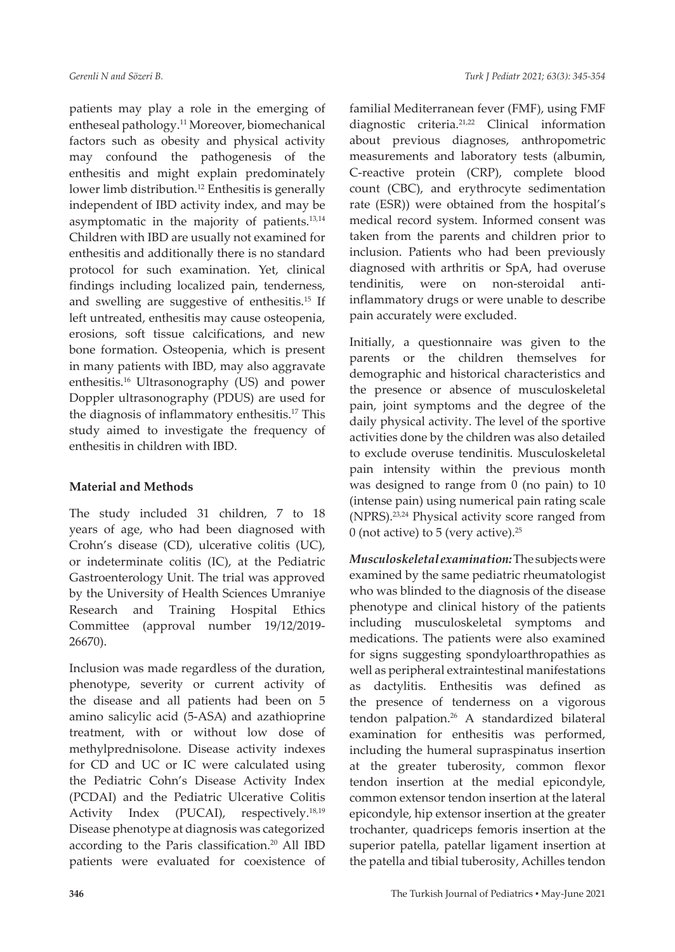patients may play a role in the emerging of entheseal pathology.<sup>11</sup> Moreover, biomechanical factors such as obesity and physical activity may confound the pathogenesis of the enthesitis and might explain predominately lower limb distribution.<sup>12</sup> Enthesitis is generally independent of IBD activity index, and may be asymptomatic in the majority of patients.13,14 Children with IBD are usually not examined for enthesitis and additionally there is no standard protocol for such examination. Yet, clinical findings including localized pain, tenderness, and swelling are suggestive of enthesitis.<sup>15</sup> If left untreated, enthesitis may cause osteopenia, erosions, soft tissue calcifications, and new bone formation. Osteopenia, which is present in many patients with IBD, may also aggravate enthesitis.16 Ultrasonography (US) and power Doppler ultrasonography (PDUS) are used for the diagnosis of inflammatory enthesitis.<sup>17</sup> This study aimed to investigate the frequency of enthesitis in children with IBD.

# **Material and Methods**

The study included 31 children, 7 to 18 years of age, who had been diagnosed with Crohn's disease (CD), ulcerative colitis (UC), or indeterminate colitis (IC), at the Pediatric Gastroenterology Unit. The trial was approved by the University of Health Sciences Umraniye Research and Training Hospital Ethics Committee (approval number 19/12/2019- 26670).

Inclusion was made regardless of the duration, phenotype, severity or current activity of the disease and all patients had been on 5 amino salicylic acid (5-ASA) and azathioprine treatment, with or without low dose of methylprednisolone. Disease activity indexes for CD and UC or IC were calculated using the Pediatric Cohn's Disease Activity Index (PCDAI) and the Pediatric Ulcerative Colitis Activity Index (PUCAI), respectively.<sup>18,19</sup> Disease phenotype at diagnosis was categorized according to the Paris classification.<sup>20</sup> All IBD patients were evaluated for coexistence of

familial Mediterranean fever (FMF), using FMF diagnostic criteria.21,22 Clinical information about previous diagnoses, anthropometric measurements and laboratory tests (albumin, C-reactive protein (CRP), complete blood count (CBC), and erythrocyte sedimentation rate (ESR)) were obtained from the hospital's medical record system. Informed consent was taken from the parents and children prior to inclusion. Patients who had been previously diagnosed with arthritis or SpA, had overuse tendinitis, were on non-steroidal antiinflammatory drugs or were unable to describe pain accurately were excluded.

Initially, a questionnaire was given to the parents or the children themselves for demographic and historical characteristics and the presence or absence of musculoskeletal pain, joint symptoms and the degree of the daily physical activity. The level of the sportive activities done by the children was also detailed to exclude overuse tendinitis. Musculoskeletal pain intensity within the previous month was designed to range from 0 (no pain) to 10 (intense pain) using numerical pain rating scale (NPRS).23,24 Physical activity score ranged from 0 (not active) to 5 (very active). $25$ 

*Musculoskeletal examination:* The subjects were examined by the same pediatric rheumatologist who was blinded to the diagnosis of the disease phenotype and clinical history of the patients including musculoskeletal symptoms and medications. The patients were also examined for signs suggesting spondyloarthropathies as well as peripheral extraintestinal manifestations as dactylitis. Enthesitis was defined as the presence of tenderness on a vigorous tendon palpation.26 A standardized bilateral examination for enthesitis was performed, including the humeral supraspinatus insertion at the greater tuberosity, common flexor tendon insertion at the medial epicondyle, common extensor tendon insertion at the lateral epicondyle, hip extensor insertion at the greater trochanter, quadriceps femoris insertion at the superior patella, patellar ligament insertion at the patella and tibial tuberosity, Achilles tendon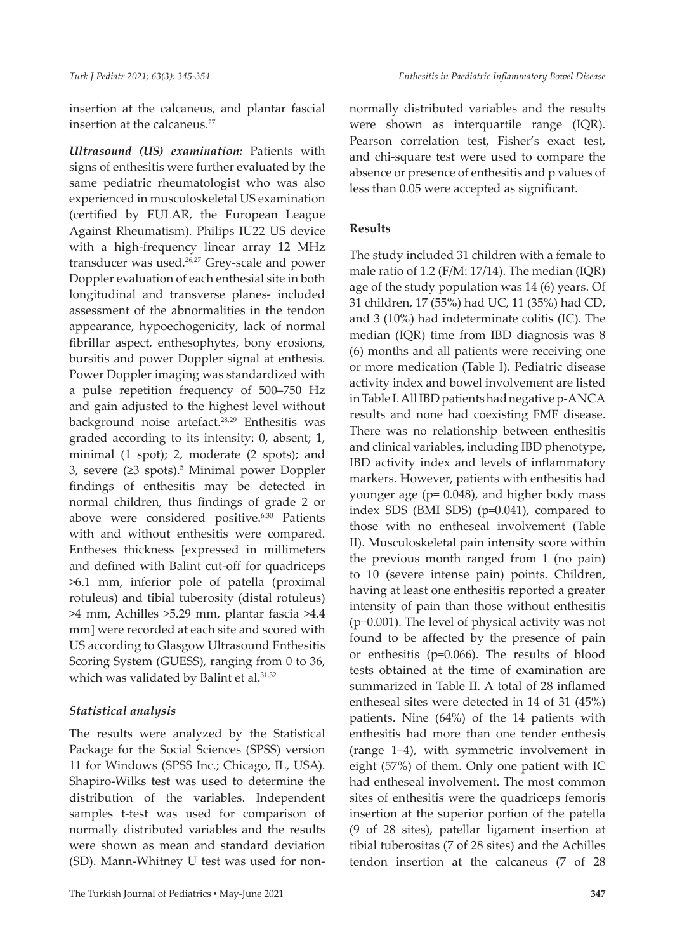insertion at the calcaneus, and plantar fascial insertion at the calcaneus.<sup>27</sup>

*Ultrasound (US) examination:* Patients with signs of enthesitis were further evaluated by the same pediatric rheumatologist who was also experienced in musculoskeletal US examination (certified by EULAR, the European League Against Rheumatism). Philips IU22 US device with a high-frequency linear array 12 MHz transducer was used.<sup>26,27</sup> Grey-scale and power Doppler evaluation of each enthesial site in both longitudinal and transverse planes- included assessment of the abnormalities in the tendon appearance, hypoechogenicity, lack of normal fibrillar aspect, enthesophytes, bony erosions, bursitis and power Doppler signal at enthesis. Power Doppler imaging was standardized with a pulse repetition frequency of 500–750 Hz and gain adjusted to the highest level without background noise artefact.<sup>28,29</sup> Enthesitis was graded according to its intensity: 0, absent; 1, minimal (1 spot); 2, moderate (2 spots); and 3, severe (≥3 spots).<sup>5</sup> Minimal power Doppler findings of enthesitis may be detected in normal children, thus findings of grade 2 or above were considered positive.<sup>6,30</sup> Patients with and without enthesitis were compared. Entheses thickness [expressed in millimeters and defined with Balint cut-off for quadriceps >6.1 mm, inferior pole of patella (proximal rotuleus) and tibial tuberosity (distal rotuleus) >4 mm, Achilles >5.29 mm, plantar fascia >4.4 mm] were recorded at each site and scored with US according to Glasgow Ultrasound Enthesitis Scoring System (GUESS), ranging from 0 to 36, which was validated by Balint et al.<sup>31,32</sup>

#### *Statistical analysis*

The results were analyzed by the Statistical Package for the Social Sciences (SPSS) version 11 for Windows (SPSS Inc.; Chicago, IL, USA). Shapiro-Wilks test was used to determine the distribution of the variables. Independent samples t-test was used for comparison of normally distributed variables and the results were shown as mean and standard deviation (SD). Mann-Whitney U test was used for nonnormally distributed variables and the results were shown as interquartile range (IQR). Pearson correlation test, Fisher's exact test, and chi-square test were used to compare the absence or presence of enthesitis and p values of less than 0.05 were accepted as significant.

## **Results**

The study included 31 children with a female to male ratio of 1.2 (F/M: 17/14). The median (IQR) age of the study population was 14 (6) years. Of 31 children, 17 (55%) had UC, 11 (35%) had CD, and 3 (10%) had indeterminate colitis (IC). The median (IQR) time from IBD diagnosis was 8 (6) months and all patients were receiving one or more medication (Table I). Pediatric disease activity index and bowel involvement are listed in Table I. All IBD patients had negative p-ANCA results and none had coexisting FMF disease. There was no relationship between enthesitis and clinical variables, including IBD phenotype, IBD activity index and levels of inflammatory markers. However, patients with enthesitis had younger age (p= 0.048), and higher body mass index SDS (BMI SDS) (p=0.041), compared to those with no entheseal involvement (Table II). Musculoskeletal pain intensity score within the previous month ranged from 1 (no pain) to 10 (severe intense pain) points. Children, having at least one enthesitis reported a greater intensity of pain than those without enthesitis (p=0.001). The level of physical activity was not found to be affected by the presence of pain or enthesitis (p=0.066). The results of blood tests obtained at the time of examination are summarized in Table II. A total of 28 inflamed entheseal sites were detected in 14 of 31 (45%) patients. Nine (64%) of the 14 patients with enthesitis had more than one tender enthesis (range 1–4), with symmetric involvement in eight (57%) of them. Only one patient with IC had entheseal involvement. The most common sites of enthesitis were the quadriceps femoris insertion at the superior portion of the patella (9 of 28 sites), patellar ligament insertion at tibial tuberositas (7 of 28 sites) and the Achilles tendon insertion at the calcaneus (7 of 28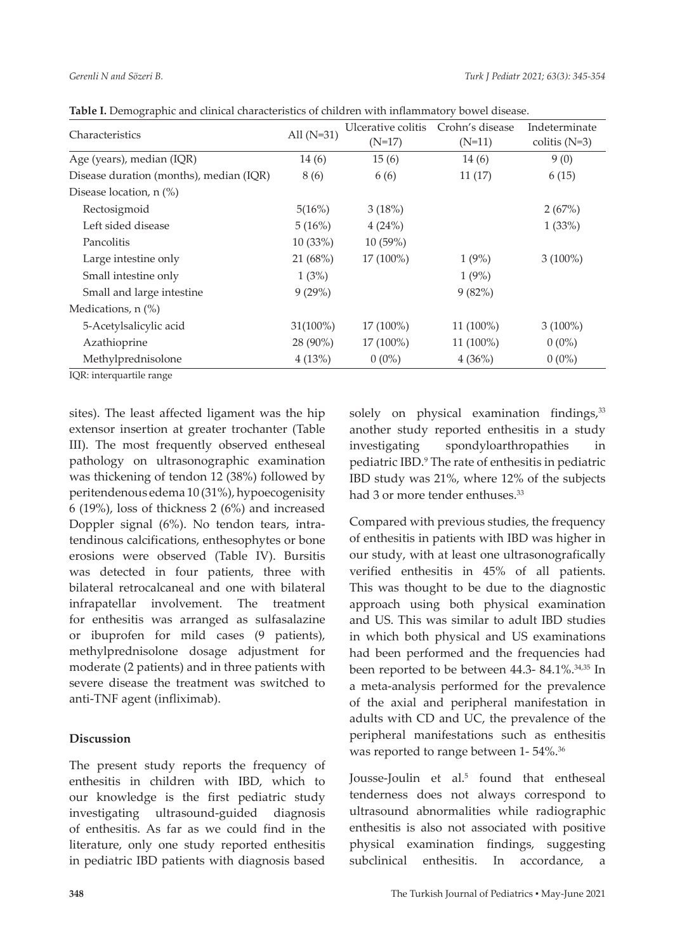| Characteristics                         | All $(N=31)$ | Ulcerative colitis<br>$(N=17)$ | Crohn's disease<br>$(N=11)$ | Indeterminate<br>colitis $(N=3)$ |  |
|-----------------------------------------|--------------|--------------------------------|-----------------------------|----------------------------------|--|
| Age (years), median (IQR)               | 14 (6)       | 15(6)                          | 14(6)                       | 9(0)                             |  |
| Disease duration (months), median (IQR) | 8 (6)        | 6(6)                           | 11(17)                      | 6(15)                            |  |
| Disease location, n (%)                 |              |                                |                             |                                  |  |
| Rectosigmoid                            | 5(16%)       | 3(18%)                         |                             | 2(67%)                           |  |
| Left sided disease                      | 5(16%)       | 4(24%)                         |                             | 1(33%)                           |  |
| Pancolitis                              | 10 (33%)     | 10 (59%)                       |                             |                                  |  |
| Large intestine only                    | 21 (68%)     | 17 (100%)                      | 1(9%)                       | $3(100\%)$                       |  |
| Small intestine only                    | 1(3%)        |                                | 1(9%)                       |                                  |  |
| Small and large intestine               | 9(29%)       |                                | 9(82%)                      |                                  |  |
| Medications, $n$ $\left(\% \right)$     |              |                                |                             |                                  |  |
| 5-Acetylsalicylic acid                  | $31(100\%)$  | $17(100\%)$                    | $11(100\%)$                 | $3(100\%)$                       |  |
| Azathioprine                            | 28 (90%)     | 17 (100%)                      | 11 (100%)                   | $0(0\%)$                         |  |
| Methylprednisolone                      | 4(13%)       | $0(0\%)$                       | 4(36%)                      | $0(0\%)$                         |  |

**Table I.** Demographic and clinical characteristics of children with inflammatory bowel disease.

IQR: interquartile range

sites). The least affected ligament was the hip extensor insertion at greater trochanter (Table III). The most frequently observed entheseal pathology on ultrasonographic examination was thickening of tendon 12 (38%) followed by peritendenous edema 10 (31%), hypoecogenisity 6 (19%), loss of thickness 2 (6%) and increased Doppler signal (6%). No tendon tears, intratendinous calcifications, enthesophytes or bone erosions were observed (Table IV). Bursitis was detected in four patients, three with bilateral retrocalcaneal and one with bilateral infrapatellar involvement. The treatment for enthesitis was arranged as sulfasalazine or ibuprofen for mild cases (9 patients), methylprednisolone dosage adjustment for moderate (2 patients) and in three patients with severe disease the treatment was switched to anti-TNF agent (infliximab).

# **Discussion**

The present study reports the frequency of enthesitis in children with IBD, which to our knowledge is the first pediatric study investigating ultrasound-guided diagnosis of enthesitis. As far as we could find in the literature, only one study reported enthesitis in pediatric IBD patients with diagnosis based

solely on physical examination findings,<sup>33</sup> another study reported enthesitis in a study investigating spondyloarthropathies in pediatric IBD.9 The rate of enthesitis in pediatric IBD study was 21%, where 12% of the subjects had 3 or more tender enthuses.<sup>33</sup>

Compared with previous studies, the frequency of enthesitis in patients with IBD was higher in our study, with at least one ultrasonografically verified enthesitis in 45% of all patients. This was thought to be due to the diagnostic approach using both physical examination and US. This was similar to adult IBD studies in which both physical and US examinations had been performed and the frequencies had been reported to be between 44.3- 84.1%.<sup>34,35</sup> In a meta-analysis performed for the prevalence of the axial and peripheral manifestation in adults with CD and UC, the prevalence of the peripheral manifestations such as enthesitis was reported to range between 1-54%.<sup>36</sup>

Jousse-Joulin et al.<sup>5</sup> found that entheseal tenderness does not always correspond to ultrasound abnormalities while radiographic enthesitis is also not associated with positive physical examination findings, suggesting subclinical enthesitis. In accordance, a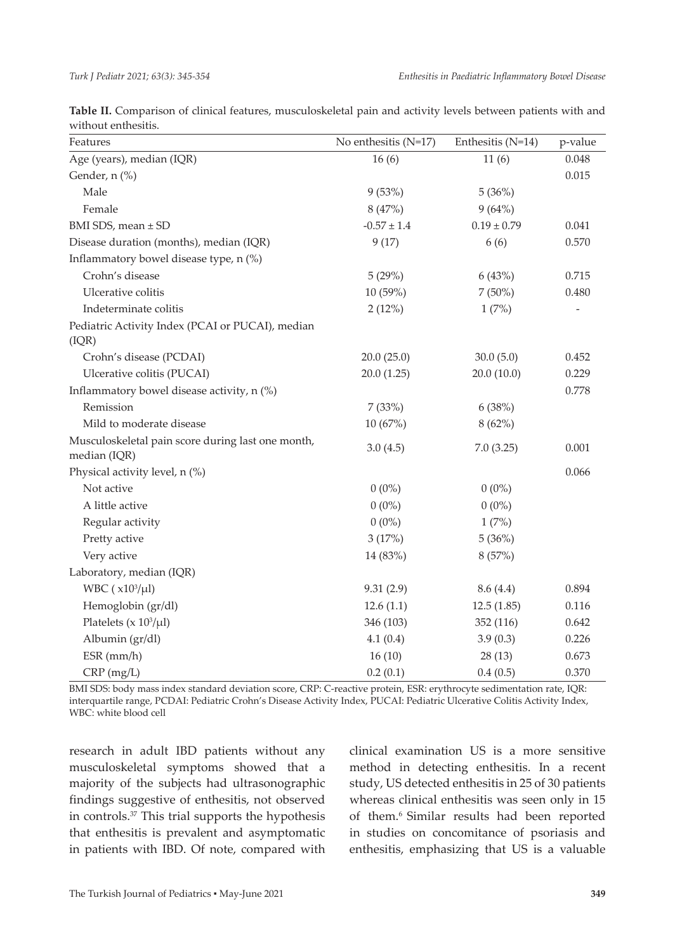| Features                                                          | No enthesitis $(N=17)$ | Enthesitis (N=14) | p-value |
|-------------------------------------------------------------------|------------------------|-------------------|---------|
| Age (years), median (IQR)                                         | 16(6)                  | 11(6)             | 0.048   |
| Gender, n (%)                                                     |                        |                   | 0.015   |
| Male                                                              | 9(53%)                 | 5(36%)            |         |
| Female                                                            | 8(47%)                 | 9(64%)            |         |
| BMI SDS, mean ± SD                                                | $-0.57 \pm 1.4$        | $0.19 \pm 0.79$   | 0.041   |
| Disease duration (months), median (IQR)                           | 9(17)                  | 6(6)              | 0.570   |
| Inflammatory bowel disease type, n (%)                            |                        |                   |         |
| Crohn's disease                                                   | 5(29%)                 | 6(43%)            | 0.715   |
| Ulcerative colitis                                                | 10 (59%)               | $7(50\%)$         | 0.480   |
| Indeterminate colitis                                             | 2(12%)                 | 1(7%)             |         |
| Pediatric Activity Index (PCAI or PUCAI), median                  |                        |                   |         |
| (IQR)                                                             |                        |                   |         |
| Crohn's disease (PCDAI)                                           | 20.0(25.0)             | 30.0(5.0)         | 0.452   |
| Ulcerative colitis (PUCAI)                                        | 20.0(1.25)             | 20.0(10.0)        | 0.229   |
| Inflammatory bowel disease activity, n (%)                        |                        |                   | 0.778   |
| Remission                                                         | 7(33%)                 | 6(38%)            |         |
| Mild to moderate disease                                          | 10 (67%)               | 8(62%)            |         |
| Musculoskeletal pain score during last one month,<br>median (IQR) | 3.0(4.5)               | 7.0(3.25)         | 0.001   |
| Physical activity level, n (%)                                    |                        |                   | 0.066   |
| Not active                                                        | $0(0\%)$               | $0(0\%)$          |         |
| A little active                                                   | $0(0\%)$               | $0(0\%)$          |         |
| Regular activity                                                  | $0(0\%)$               | 1(7%)             |         |
| Pretty active                                                     | 3(17%)                 | 5(36%)            |         |
| Very active                                                       | 14 (83%)               | 8(57%)            |         |
| Laboratory, median (IQR)                                          |                        |                   |         |
| WBC $(x10^3/\mu l)$                                               | 9.31(2.9)              | 8.6(4.4)          | 0.894   |
| Hemoglobin (gr/dl)                                                | 12.6(1.1)              | 12.5(1.85)        | 0.116   |
| Platelets ( $x 10^3/\mu$ l)                                       | 346 (103)              | 352 (116)         | 0.642   |
| Albumin (gr/dl)                                                   | 4.1(0.4)               | 3.9(0.3)          | 0.226   |
| $ESR$ (mm/h)                                                      | 16(10)                 | 28(13)            | 0.673   |
| CRP (mg/L)                                                        | 0.2(0.1)               | 0.4(0.5)          | 0.370   |

**Table II.** Comparison of clinical features, musculoskeletal pain and activity levels between patients with and without enthesitis.

BMI SDS: body mass index standard deviation score, CRP: C-reactive protein, ESR: erythrocyte sedimentation rate, IQR: interquartile range, PCDAI: Pediatric Crohn's Disease Activity Index, PUCAI: Pediatric Ulcerative Colitis Activity Index, WBC: white blood cell

research in adult IBD patients without any musculoskeletal symptoms showed that a majority of the subjects had ultrasonographic findings suggestive of enthesitis, not observed in controls.<sup>37</sup> This trial supports the hypothesis that enthesitis is prevalent and asymptomatic in patients with IBD. Of note, compared with clinical examination US is a more sensitive method in detecting enthesitis. In a recent study, US detected enthesitis in 25 of 30 patients whereas clinical enthesitis was seen only in 15 of them.6 Similar results had been reported in studies on concomitance of psoriasis and enthesitis, emphasizing that US is a valuable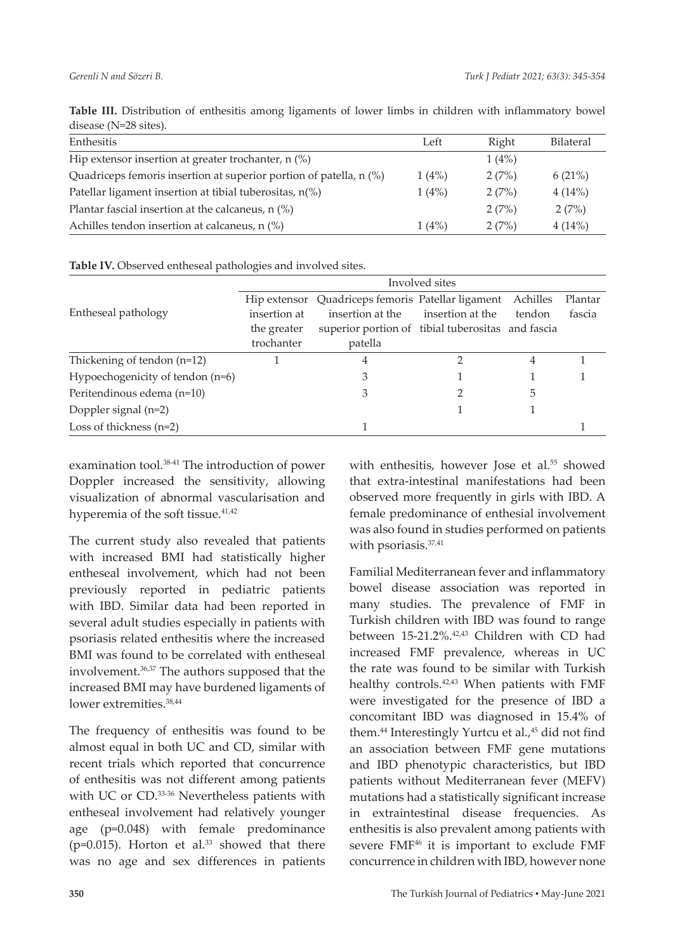| alsease (IV-20 sites).                                             |       |       |           |
|--------------------------------------------------------------------|-------|-------|-----------|
| Enthesitis                                                         | Left  | Right | Bilateral |
| Hip extensor insertion at greater trochanter, $n$ (%)              |       | 1(4%) |           |
| Quadriceps femoris insertion at superior portion of patella, n (%) | 1(4%) | 2(7%) | 6(21%)    |
| Patellar ligament insertion at tibial tuberositas, $n\binom{9}{0}$ | 1(4%) | 2(7%) | 4(14%)    |
| Plantar fascial insertion at the calcaneus, $n$ (%)                |       | 2(7%) | 2(7%)     |
| Achilles tendon insertion at calcaneus, n (%)                      | 1(4%) | 2(7%) | 4(14%)    |

**Table III.** Distribution of enthesitis among ligaments of lower limbs in children with inflammatory bowel  $d = 28$   $d = 28$ 

**Table IV.** Observed entheseal pathologies and involved sites.

|                                  | Involved sites |                                                   |                  |          |         |  |
|----------------------------------|----------------|---------------------------------------------------|------------------|----------|---------|--|
|                                  | Hip extensor   | Quadriceps femoris Patellar ligament              |                  | Achilles | Plantar |  |
| Entheseal pathology              | insertion at   | insertion at the                                  | insertion at the | tendon   | fascia  |  |
|                                  | the greater    | superior portion of tibial tuberositas and fascia |                  |          |         |  |
|                                  | trochanter     | patella                                           |                  |          |         |  |
| Thickening of tendon $(n=12)$    |                | 4                                                 |                  | 4        |         |  |
| Hypoechogenicity of tendon (n=6) |                | 3                                                 |                  |          |         |  |
| Peritendinous edema (n=10)       |                |                                                   |                  | 5        |         |  |
| Doppler signal (n=2)             |                |                                                   |                  |          |         |  |
| Loss of thickness $(n=2)$        |                |                                                   |                  |          |         |  |

examination tool.<sup>38-41</sup> The introduction of power Doppler increased the sensitivity, allowing visualization of abnormal vascularisation and hyperemia of the soft tissue.<sup>41,42</sup>

The current study also revealed that patients with increased BMI had statistically higher entheseal involvement, which had not been previously reported in pediatric patients with IBD. Similar data had been reported in several adult studies especially in patients with psoriasis related enthesitis where the increased BMI was found to be correlated with entheseal involvement.36,37 The authors supposed that the increased BMI may have burdened ligaments of lower extremities.38,44

The frequency of enthesitis was found to be almost equal in both UC and CD, similar with recent trials which reported that concurrence of enthesitis was not different among patients with UC or CD.<sup>33-36</sup> Nevertheless patients with entheseal involvement had relatively younger age (p=0.048) with female predominance ( $p=0.015$ ). Horton et al.<sup>33</sup> showed that there was no age and sex differences in patients

with enthesitis, however Jose et al.<sup>55</sup> showed that extra-intestinal manifestations had been observed more frequently in girls with IBD. A female predominance of enthesial involvement was also found in studies performed on patients with psoriasis.<sup>37,41</sup>

Familial Mediterranean fever and inflammatory bowel disease association was reported in many studies. The prevalence of FMF in Turkish children with IBD was found to range between 15-21.2%.<sup>42,43</sup> Children with CD had increased FMF prevalence, whereas in UC the rate was found to be similar with Turkish healthy controls.<sup>42,43</sup> When patients with FMF were investigated for the presence of IBD a concomitant IBD was diagnosed in 15.4% of them.<sup>44</sup> Interestingly Yurtcu et al.,<sup>45</sup> did not find an association between FMF gene mutations and IBD phenotypic characteristics, but IBD patients without Mediterranean fever (MEFV) mutations had a statistically significant increase in extraintestinal disease frequencies. As enthesitis is also prevalent among patients with severe FMF<sup>46</sup> it is important to exclude FMF concurrence in children with IBD, however none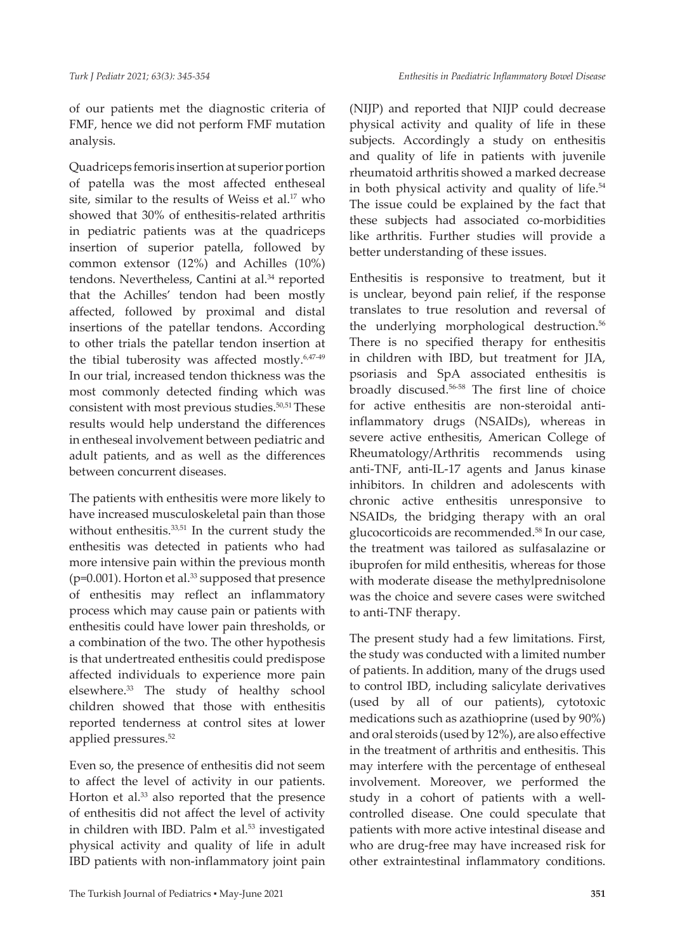of our patients met the diagnostic criteria of FMF, hence we did not perform FMF mutation analysis.

Quadriceps femoris insertion at superior portion of patella was the most affected entheseal site, similar to the results of Weiss et al.<sup>17</sup> who showed that 30% of enthesitis-related arthritis in pediatric patients was at the quadriceps insertion of superior patella, followed by common extensor (12%) and Achilles (10%) tendons. Nevertheless, Cantini at al.<sup>34</sup> reported that the Achilles' tendon had been mostly affected, followed by proximal and distal insertions of the patellar tendons. According to other trials the patellar tendon insertion at the tibial tuberosity was affected mostly.6,47-49 In our trial, increased tendon thickness was the most commonly detected finding which was consistent with most previous studies.<sup>50,51</sup> These results would help understand the differences in entheseal involvement between pediatric and adult patients, and as well as the differences between concurrent diseases.

The patients with enthesitis were more likely to have increased musculoskeletal pain than those without enthesitis.<sup>33,51</sup> In the current study the enthesitis was detected in patients who had more intensive pain within the previous month (p=0.001). Horton et al.<sup>33</sup> supposed that presence of enthesitis may reflect an inflammatory process which may cause pain or patients with enthesitis could have lower pain thresholds, or a combination of the two. The other hypothesis is that undertreated enthesitis could predispose affected individuals to experience more pain elsewhere.33 The study of healthy school children showed that those with enthesitis reported tenderness at control sites at lower applied pressures.<sup>52</sup>

Even so, the presence of enthesitis did not seem to affect the level of activity in our patients. Horton et al.<sup>33</sup> also reported that the presence of enthesitis did not affect the level of activity in children with IBD. Palm et al.<sup>53</sup> investigated physical activity and quality of life in adult IBD patients with non-inflammatory joint pain (NIJP) and reported that NIJP could decrease physical activity and quality of life in these subjects. Accordingly a study on enthesitis and quality of life in patients with juvenile rheumatoid arthritis showed a marked decrease in both physical activity and quality of life.<sup>54</sup> The issue could be explained by the fact that these subjects had associated co-morbidities like arthritis. Further studies will provide a better understanding of these issues.

Enthesitis is responsive to treatment, but it is unclear, beyond pain relief, if the response translates to true resolution and reversal of the underlying morphological destruction.<sup>56</sup> There is no specified therapy for enthesitis in children with IBD, but treatment for JIA, psoriasis and SpA associated enthesitis is broadly discused.56-58 The first line of choice for active enthesitis are non-steroidal antiinflammatory drugs (NSAIDs), whereas in severe active enthesitis, American College of Rheumatology/Arthritis recommends using anti-TNF, anti-IL-17 agents and Janus kinase inhibitors. In children and adolescents with chronic active enthesitis unresponsive to NSAIDs, the bridging therapy with an oral glucocorticoids are recommended.58 In our case, the treatment was tailored as sulfasalazine or ibuprofen for mild enthesitis, whereas for those with moderate disease the methylprednisolone was the choice and severe cases were switched to anti-TNF therapy.

The present study had a few limitations. First, the study was conducted with a limited number of patients. In addition, many of the drugs used to control IBD, including salicylate derivatives (used by all of our patients), cytotoxic medications such as azathioprine (used by 90%) and oral steroids (used by 12%), are also effective in the treatment of arthritis and enthesitis. This may interfere with the percentage of entheseal involvement. Moreover, we performed the study in a cohort of patients with a wellcontrolled disease. One could speculate that patients with more active intestinal disease and who are drug-free may have increased risk for other extraintestinal inflammatory conditions.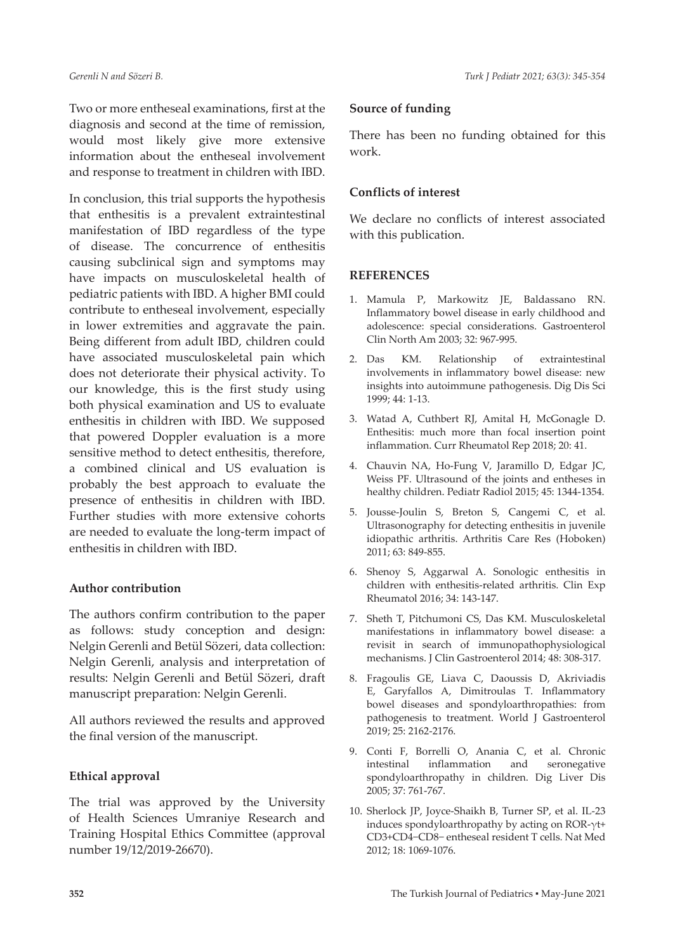Two or more entheseal examinations, first at the diagnosis and second at the time of remission, would most likely give more extensive information about the entheseal involvement and response to treatment in children with IBD.

In conclusion, this trial supports the hypothesis that enthesitis is a prevalent extraintestinal manifestation of IBD regardless of the type of disease. The concurrence of enthesitis causing subclinical sign and symptoms may have impacts on musculoskeletal health of pediatric patients with IBD. A higher BMI could contribute to entheseal involvement, especially in lower extremities and aggravate the pain. Being different from adult IBD, children could have associated musculoskeletal pain which does not deteriorate their physical activity. To our knowledge, this is the first study using both physical examination and US to evaluate enthesitis in children with IBD. We supposed that powered Doppler evaluation is a more sensitive method to detect enthesitis, therefore, a combined clinical and US evaluation is probably the best approach to evaluate the presence of enthesitis in children with IBD. Further studies with more extensive cohorts are needed to evaluate the long-term impact of enthesitis in children with IBD.

#### **Author contribution**

The authors confirm contribution to the paper as follows: study conception and design: Nelgin Gerenli and Betül Sözeri, data collection: Nelgin Gerenli, analysis and interpretation of results: Nelgin Gerenli and Betül Sözeri, draft manuscript preparation: Nelgin Gerenli.

All authors reviewed the results and approved the final version of the manuscript.

# **Ethical approval**

The trial was approved by the University of Health Sciences Umraniye Research and Training Hospital Ethics Committee (approval number 19/12/2019-26670).

#### **Source of funding**

There has been no funding obtained for this work.

## **Conflicts of interest**

We declare no conflicts of interest associated with this publication.

#### **REFERENCES**

- 1. Mamula P, Markowitz JE, Baldassano RN. Inflammatory bowel disease in early childhood and adolescence: special considerations. Gastroenterol Clin North Am 2003; 32: 967-995.
- 2. Das KM. Relationship of extraintestinal involvements in inflammatory bowel disease: new insights into autoimmune pathogenesis. Dig Dis Sci 1999; 44: 1-13.
- 3. Watad A, Cuthbert RJ, Amital H, McGonagle D. Enthesitis: much more than focal insertion point inflammation. Curr Rheumatol Rep 2018; 20: 41.
- 4. Chauvin NA, Ho-Fung V, Jaramillo D, Edgar JC, Weiss PF. Ultrasound of the joints and entheses in healthy children. Pediatr Radiol 2015; 45: 1344-1354.
- 5. Jousse-Joulin S, Breton S, Cangemi C, et al. Ultrasonography for detecting enthesitis in juvenile idiopathic arthritis. Arthritis Care Res (Hoboken) 2011; 63: 849-855.
- 6. Shenoy S, Aggarwal A. Sonologic enthesitis in children with enthesitis-related arthritis. Clin Exp Rheumatol 2016; 34: 143-147.
- 7. Sheth T, Pitchumoni CS, Das KM. Musculoskeletal manifestations in inflammatory bowel disease: a revisit in search of immunopathophysiological mechanisms. J Clin Gastroenterol 2014; 48: 308-317.
- 8. Fragoulis GE, Liava C, Daoussis D, Akriviadis E, Garyfallos A, Dimitroulas T. Inflammatory bowel diseases and spondyloarthropathies: from pathogenesis to treatment. World J Gastroenterol 2019; 25: 2162-2176.
- 9. Conti F, Borrelli O, Anania C, et al. Chronic intestinal inflammation and seronegative spondyloarthropathy in children. Dig Liver Dis 2005; 37: 761-767.
- 10. Sherlock JP, Joyce-Shaikh B, Turner SP, et al. IL-23 induces spondyloarthropathy by acting on ROR-γt+ CD3+CD4−CD8− entheseal resident T cells. Nat Med 2012; 18: 1069-1076.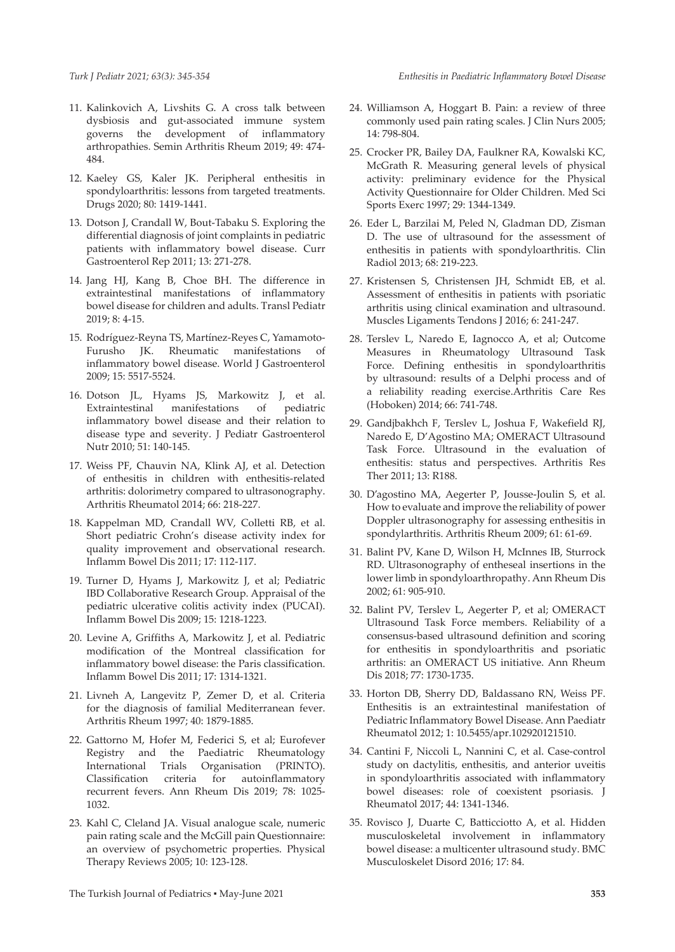- 11. Kalinkovich A, Livshits G. A cross talk between dysbiosis and gut-associated immune system governs the development of inflammatory arthropathies. Semin Arthritis Rheum 2019; 49: 474- 484.
- 12. Kaeley GS, Kaler JK. Peripheral enthesitis in spondyloarthritis: lessons from targeted treatments. Drugs 2020; 80: 1419-1441.
- 13. Dotson J, Crandall W, Bout-Tabaku S. Exploring the differential diagnosis of joint complaints in pediatric patients with inflammatory bowel disease. Curr Gastroenterol Rep 2011; 13: 271-278.
- 14. Jang HJ, Kang B, Choe BH. The difference in extraintestinal manifestations of inflammatory bowel disease for children and adults. Transl Pediatr 2019; 8: 4-15.
- 15. Rodríguez-Reyna TS, Martínez-Reyes C, Yamamoto-Furusho JK. Rheumatic manifestations of inflammatory bowel disease. World J Gastroenterol 2009; 15: 5517-5524.
- 16. Dotson JL, Hyams JS, Markowitz J, et al. Extraintestinal manifestations of pediatric inflammatory bowel disease and their relation to disease type and severity. J Pediatr Gastroenterol Nutr 2010; 51: 140-145.
- 17. Weiss PF, Chauvin NA, Klink AJ, et al. Detection of enthesitis in children with enthesitis-related arthritis: dolorimetry compared to ultrasonography. Arthritis Rheumatol 2014; 66: 218-227.
- 18. Kappelman MD, Crandall WV, Colletti RB, et al. Short pediatric Crohn's disease activity index for quality improvement and observational research. Inflamm Bowel Dis 2011; 17: 112-117.
- 19. Turner D, Hyams J, Markowitz J, et al; Pediatric IBD Collaborative Research Group. Appraisal of the pediatric ulcerative colitis activity index (PUCAI). Inflamm Bowel Dis 2009; 15: 1218-1223.
- 20. Levine A, Griffiths A, Markowitz J, et al. Pediatric modification of the Montreal classification for inflammatory bowel disease: the Paris classification. Inflamm Bowel Dis 2011; 17: 1314-1321.
- 21. Livneh A, Langevitz P, Zemer D, et al. Criteria for the diagnosis of familial Mediterranean fever. Arthritis Rheum 1997; 40: 1879-1885.
- 22. Gattorno M, Hofer M, Federici S, et al; Eurofever Registry and the Paediatric Rheumatology International Trials Organisation (PRINTO). Classification criteria for autoinflammatory recurrent fevers. Ann Rheum Dis 2019; 78: 1025- 1032.
- 23. Kahl C, Cleland JA. Visual analogue scale, numeric pain rating scale and the McGill pain Questionnaire: an overview of psychometric properties. Physical Therapy Reviews 2005; 10: 123-128.
- 24. Williamson A, Hoggart B. Pain: a review of three commonly used pain rating scales. J Clin Nurs 2005; 14: 798-804.
- 25. Crocker PR, Bailey DA, Faulkner RA, Kowalski KC, McGrath R. Measuring general levels of physical activity: preliminary evidence for the Physical Activity Questionnaire for Older Children. Med Sci Sports Exerc 1997; 29: 1344-1349.
- 26. Eder L, Barzilai M, Peled N, Gladman DD, Zisman D. The use of ultrasound for the assessment of enthesitis in patients with spondyloarthritis. Clin Radiol 2013; 68: 219-223.
- 27. Kristensen S, Christensen JH, Schmidt EB, et al. Assessment of enthesitis in patients with psoriatic arthritis using clinical examination and ultrasound. Muscles Ligaments Tendons J 2016; 6: 241-247.
- 28. Terslev L, Naredo E, Iagnocco A, et al; Outcome Measures in Rheumatology Ultrasound Task Force. Defining enthesitis in spondyloarthritis by ultrasound: results of a Delphi process and of a reliability reading exercise.Arthritis Care Res (Hoboken) 2014; 66: 741-748.
- 29. Gandjbakhch F, Terslev L, Joshua F, Wakefield RJ, Naredo E, D'Agostino MA; OMERACT Ultrasound Task Force. Ultrasound in the evaluation of enthesitis: status and perspectives. Arthritis Res Ther 2011; 13: R188.
- 30. D'agostino MA, Aegerter P, Jousse-Joulin S, et al. How to evaluate and improve the reliability of power Doppler ultrasonography for assessing enthesitis in spondylarthritis. Arthritis Rheum 2009; 61: 61-69.
- 31. Balint PV, Kane D, Wilson H, McInnes IB, Sturrock RD. Ultrasonography of entheseal insertions in the lower limb in spondyloarthropathy. Ann Rheum Dis 2002; 61: 905-910.
- 32. Balint PV, Terslev L, Aegerter P, et al; OMERACT Ultrasound Task Force members. Reliability of a consensus-based ultrasound definition and scoring for enthesitis in spondyloarthritis and psoriatic arthritis: an OMERACT US initiative. Ann Rheum Dis 2018; 77: 1730-1735.
- 33. Horton DB, Sherry DD, Baldassano RN, Weiss PF. Enthesitis is an extraintestinal manifestation of Pediatric Inflammatory Bowel Disease. Ann Paediatr Rheumatol 2012; 1: 10.5455/apr.102920121510.
- 34. Cantini F, Niccoli L, Nannini C, et al. Case-control study on dactylitis, enthesitis, and anterior uveitis in spondyloarthritis associated with inflammatory bowel diseases: role of coexistent psoriasis. J Rheumatol 2017; 44: 1341-1346.
- 35. Rovisco J, Duarte C, Batticciotto A, et al. Hidden musculoskeletal involvement in inflammatory bowel disease: a multicenter ultrasound study. BMC Musculoskelet Disord 2016; 17: 84.